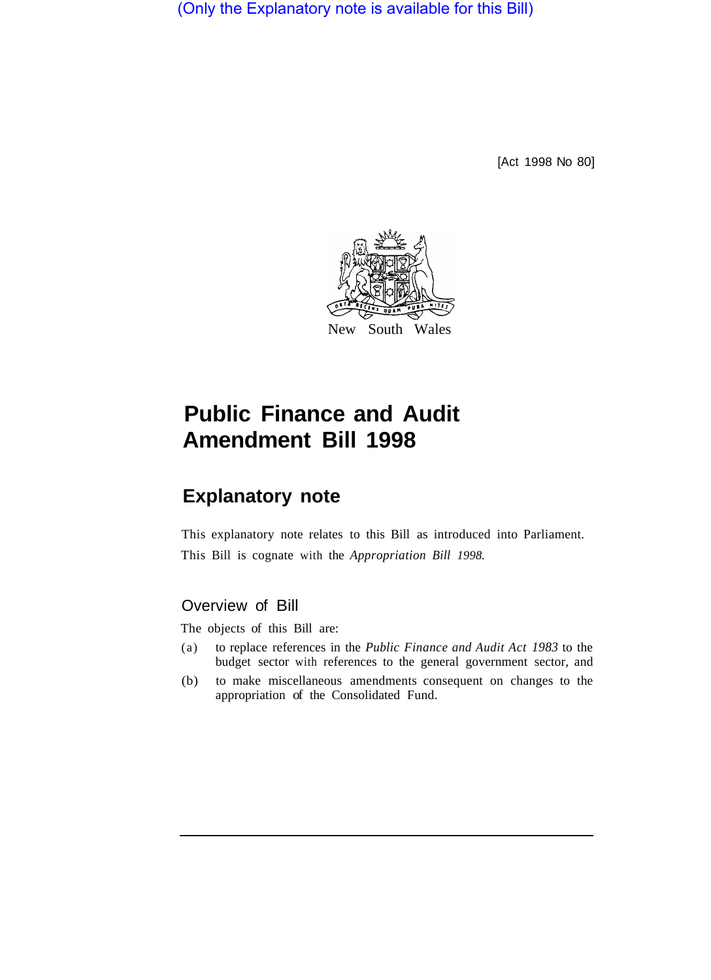(Only the Explanatory note is available for this Bill)

[Act 1998 No 80]



# **Public Finance and Audit Amendment Bill 1998**

## **Explanatory note**

This explanatory note relates to this Bill as introduced into Parliament. This Bill is cognate with the *Appropriation Bill 1998.* 

## Overview of Bill

The objects of this Bill are:

- (a) to replace references in the *Public Finance and Audit Act 1983* to the budget sector with references to the general government sector, and
- (b) to make miscellaneous amendments consequent on changes to the appropriation of the Consolidated Fund.